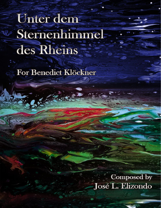# Unter dem Sternenhimmel des Rheins

For Benedict Klöckner

**Composed by** José L. Elizondo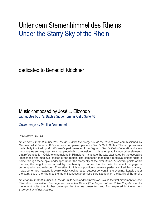## Unter dem Sternenhimmel des Rheins Under the Starry Sky of the Rhein

dedicated to Benedict Klöckner

### Music composed by José L. Elizondo with quotes by J. S. Bach's Gigue from his Cello Suite #6

Cover image by Paulina Drummond

#### PROGRAM NOTES

*Unter dem Sternenhimmel des Rheins* (*Under the starry sky of the Rhine*) was commissioned by German cellist Benedict Klöckner as a companion piece for Bach's Cello Suites. The composer was particularly inspired by Mr. Klöckner's performance of the Gigue in Bach's Cello Suite #6, and even incorporates some quotes from that piece in his composition. In his attempt to include other elements that referenced Mr. Klöckner's homeland in Rhineland-Palatinate, he was captivated by the evocative landscapes and medieval castles of the region. The composer imagined a medieval knight riding a horse through these epic landscapes under the starry sky of the river Rhine. At several points of his journey, the knight is so moved by the beauty of nature, that he halts his ride to engage in contemplation and reflection. The setting for this composition's premiere perfectly suited this imagery: it was performed masterfully by Benedict Klöckner at an outdoor concert, in the evening, literally under the starry sky of the Rhein, at the magnificent castle Schloss Burg Namedy on the banks of the Rhein.

*Unter dem Sternenhimmel des Rheins*, in its cello and violin version, is also the first movement of Jose Elizondo's composition *Die Legende des edlen Ritters* (*The Legend of the Noble Knight*), a multimovement suite that further develops the themes presented and first explored in *Unter dem Sternenhimmel des Rheins*.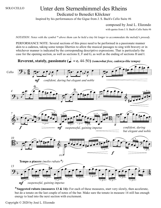# SOLO CELLO Unter dem Sternenhimmel des Rheins

Dedicated to Benedict Klöckner

Inspired by his performances of the Gigue from J. S. Bach's Cello Suite #6

composed by José L. Elizondo

with quotes from J. S. Bach's Cello Suite #6

NOTATION: Notes with the symbol \* above them can be held a tiny bit longer to accommodate the melody's prosody.

PERFORMANCE NOTE: Several sections of this piece need to be performed in a passionate manner akin to a cadenza, taking some tempo liberties to allow the musical passages to sing with bravery or in whichever manner is indicated by the corresponding descriptive expressions. That is particularly the case for the opening section, as well as sections E, F and G, as well as the ending of sections H and I.

**Reverent, stately, passionate**  $(d = c. 44-50)$  *(somewhat free, cadenza-like tempo)* 



\***Suggested rubato (measures 13 & 14):** For each of these measures, start very slowly, then accelerate, but do a tenuto on the last couple of notes of the bar. Make sure the tenuto in measure 14 still has enough energy to lead into the next section with excitement.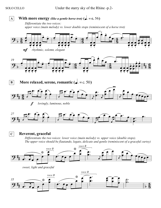

### **Reverent, graceful**

*Dif erentiate the two voices: lower voice (main melody) vs. upper voice (double stops). The upper voice should be flautando, legato, delicate and gentle (reminiscent of a graceful curtsy)*





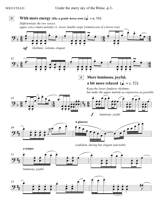SOLO CELLO Under the starry sky of the Rhine -p.3-

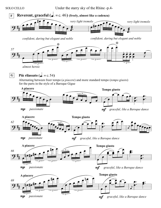